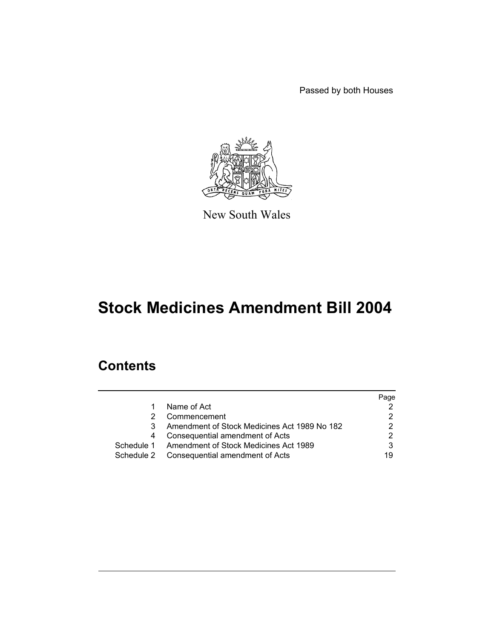Passed by both Houses



New South Wales

# **Stock Medicines Amendment Bill 2004**

# **Contents**

|            |                                                  | Page |
|------------|--------------------------------------------------|------|
|            | Name of Act                                      |      |
|            | Commencement                                     |      |
| З.         | Amendment of Stock Medicines Act 1989 No 182     |      |
|            | Consequential amendment of Acts                  |      |
|            | Schedule 1 Amendment of Stock Medicines Act 1989 |      |
| Schedule 2 | Consequential amendment of Acts                  | 19   |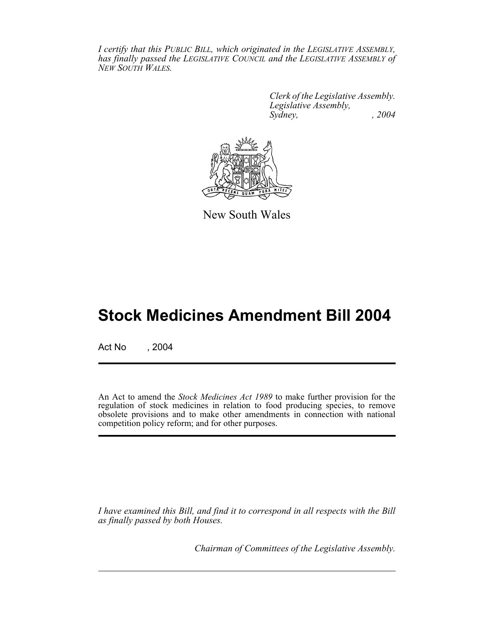*I certify that this PUBLIC BILL, which originated in the LEGISLATIVE ASSEMBLY, has finally passed the LEGISLATIVE COUNCIL and the LEGISLATIVE ASSEMBLY of NEW SOUTH WALES.*

> *Clerk of the Legislative Assembly. Legislative Assembly, Sydney, , 2004*



New South Wales

# **Stock Medicines Amendment Bill 2004**

Act No , 2004

An Act to amend the *Stock Medicines Act 1989* to make further provision for the regulation of stock medicines in relation to food producing species, to remove obsolete provisions and to make other amendments in connection with national competition policy reform; and for other purposes.

*I have examined this Bill, and find it to correspond in all respects with the Bill as finally passed by both Houses.*

*Chairman of Committees of the Legislative Assembly.*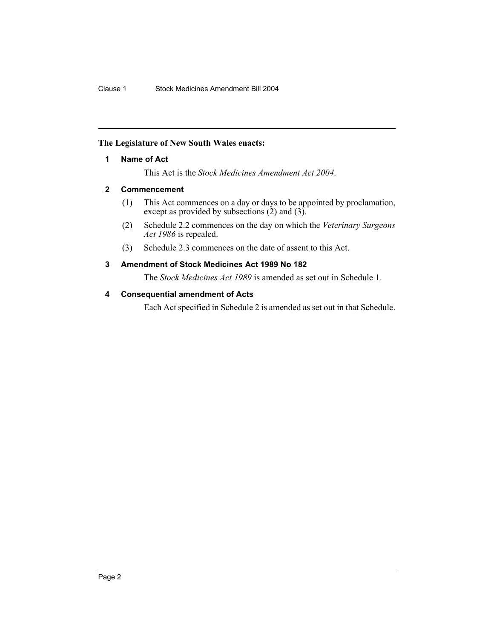#### **The Legislature of New South Wales enacts:**

#### **1 Name of Act**

This Act is the *Stock Medicines Amendment Act 2004*.

#### **2 Commencement**

- (1) This Act commences on a day or days to be appointed by proclamation, except as provided by subsections  $(2)$  and  $(3)$ .
- (2) Schedule 2.2 commences on the day on which the *Veterinary Surgeons Act 1986* is repealed.
- (3) Schedule 2.3 commences on the date of assent to this Act.

### **3 Amendment of Stock Medicines Act 1989 No 182**

The *Stock Medicines Act 1989* is amended as set out in Schedule 1.

#### **4 Consequential amendment of Acts**

Each Act specified in Schedule 2 is amended as set out in that Schedule.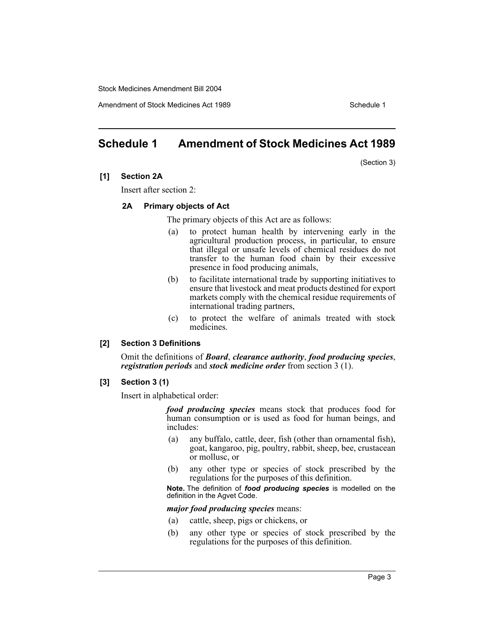Amendment of Stock Medicines Act 1989 New York Schedule 1

# **Schedule 1 Amendment of Stock Medicines Act 1989**

(Section 3)

#### **[1] Section 2A**

Insert after section 2:

#### **2A Primary objects of Act**

The primary objects of this Act are as follows:

- (a) to protect human health by intervening early in the agricultural production process, in particular, to ensure that illegal or unsafe levels of chemical residues do not transfer to the human food chain by their excessive presence in food producing animals,
- (b) to facilitate international trade by supporting initiatives to ensure that livestock and meat products destined for export markets comply with the chemical residue requirements of international trading partners,
- (c) to protect the welfare of animals treated with stock medicines.

#### **[2] Section 3 Definitions**

Omit the definitions of *Board*, *clearance authority*, *food producing species*, *registration periods* and *stock medicine order* from section 3 (1).

#### **[3] Section 3 (1)**

Insert in alphabetical order:

*food producing species* means stock that produces food for human consumption or is used as food for human beings, and includes:

- (a) any buffalo, cattle, deer, fish (other than ornamental fish), goat, kangaroo, pig, poultry, rabbit, sheep, bee, crustacean or mollusc, or
- (b) any other type or species of stock prescribed by the regulations for the purposes of this definition.

**Note.** The definition of *food producing species* is modelled on the definition in the Agvet Code.

*major food producing species* means:

- (a) cattle, sheep, pigs or chickens, or
- (b) any other type or species of stock prescribed by the regulations for the purposes of this definition.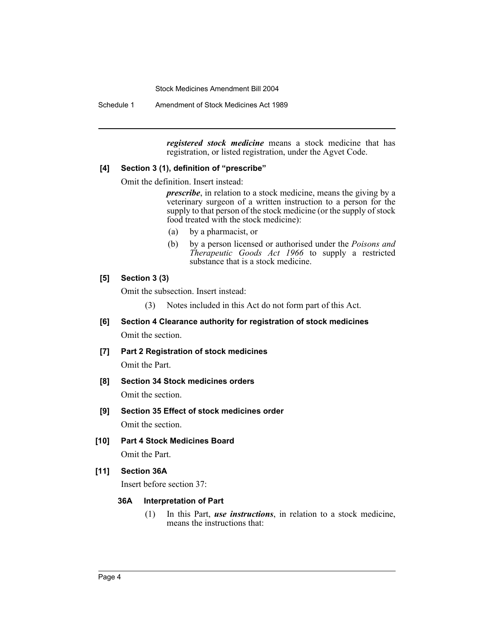Schedule 1 Amendment of Stock Medicines Act 1989

*registered stock medicine* means a stock medicine that has registration, or listed registration, under the Agvet Code.

#### **[4] Section 3 (1), definition of "prescribe"**

Omit the definition. Insert instead:

*prescribe*, in relation to a stock medicine, means the giving by a veterinary surgeon of a written instruction to a person for the supply to that person of the stock medicine (or the supply of stock food treated with the stock medicine):

- (a) by a pharmacist, or
- (b) by a person licensed or authorised under the *Poisons and Therapeutic Goods Act 1966* to supply a restricted substance that is a stock medicine.

#### **[5] Section 3 (3)**

Omit the subsection. Insert instead:

- (3) Notes included in this Act do not form part of this Act.
- **[6] Section 4 Clearance authority for registration of stock medicines** Omit the section.
- **[7] Part 2 Registration of stock medicines** Omit the Part.
- **[8] Section 34 Stock medicines orders** Omit the section.
- **[9] Section 35 Effect of stock medicines order** Omit the section.
- **[10] Part 4 Stock Medicines Board**

Omit the Part.

#### **[11] Section 36A**

Insert before section 37:

#### **36A Interpretation of Part**

(1) In this Part, *use instructions*, in relation to a stock medicine, means the instructions that: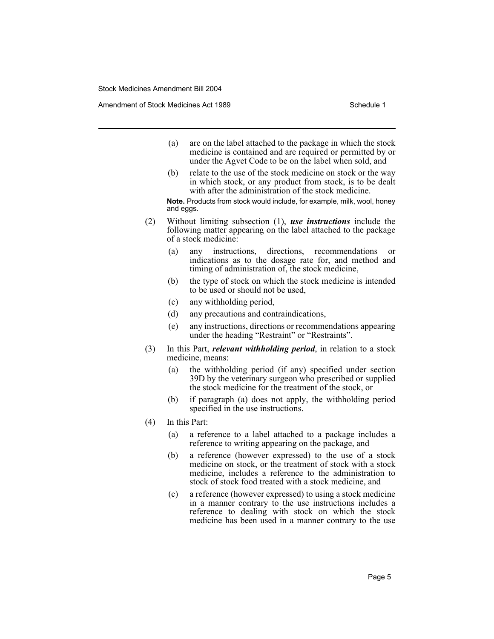- (a) are on the label attached to the package in which the stock medicine is contained and are required or permitted by or under the Agvet Code to be on the label when sold, and
- (b) relate to the use of the stock medicine on stock or the way in which stock, or any product from stock, is to be dealt with after the administration of the stock medicine.

**Note.** Products from stock would include, for example, milk, wool, honey and eggs.

- (2) Without limiting subsection (1), *use instructions* include the following matter appearing on the label attached to the package of a stock medicine:
	- (a) any instructions, directions, recommendations indications as to the dosage rate for, and method and timing of administration of, the stock medicine,
	- (b) the type of stock on which the stock medicine is intended to be used or should not be used,
	- (c) any withholding period,
	- (d) any precautions and contraindications,
	- (e) any instructions, directions or recommendations appearing under the heading "Restraint" or "Restraints".
- (3) In this Part, *relevant withholding period*, in relation to a stock medicine, means:
	- (a) the withholding period (if any) specified under section 39D by the veterinary surgeon who prescribed or supplied the stock medicine for the treatment of the stock, or
	- (b) if paragraph (a) does not apply, the withholding period specified in the use instructions.
- (4) In this Part:
	- (a) a reference to a label attached to a package includes a reference to writing appearing on the package, and
	- (b) a reference (however expressed) to the use of a stock medicine on stock, or the treatment of stock with a stock medicine, includes a reference to the administration to stock of stock food treated with a stock medicine, and
	- (c) a reference (however expressed) to using a stock medicine in a manner contrary to the use instructions includes a reference to dealing with stock on which the stock medicine has been used in a manner contrary to the use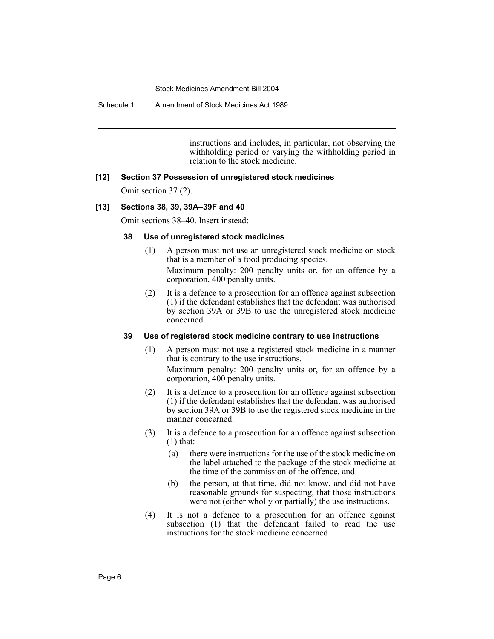Schedule 1 Amendment of Stock Medicines Act 1989

instructions and includes, in particular, not observing the withholding period or varying the withholding period in relation to the stock medicine.

### **[12] Section 37 Possession of unregistered stock medicines**

Omit section 37 (2).

#### **[13] Sections 38, 39, 39A–39F and 40**

Omit sections 38–40. Insert instead:

#### **38 Use of unregistered stock medicines**

(1) A person must not use an unregistered stock medicine on stock that is a member of a food producing species.

Maximum penalty: 200 penalty units or, for an offence by a corporation, 400 penalty units.

(2) It is a defence to a prosecution for an offence against subsection (1) if the defendant establishes that the defendant was authorised by section 39A or 39B to use the unregistered stock medicine concerned.

#### **39 Use of registered stock medicine contrary to use instructions**

(1) A person must not use a registered stock medicine in a manner that is contrary to the use instructions.

Maximum penalty: 200 penalty units or, for an offence by a corporation, 400 penalty units.

- (2) It is a defence to a prosecution for an offence against subsection (1) if the defendant establishes that the defendant was authorised by section 39A or 39B to use the registered stock medicine in the manner concerned.
- (3) It is a defence to a prosecution for an offence against subsection  $(1)$  that:
	- (a) there were instructions for the use of the stock medicine on the label attached to the package of the stock medicine at the time of the commission of the offence, and
	- (b) the person, at that time, did not know, and did not have reasonable grounds for suspecting, that those instructions were not (either wholly or partially) the use instructions.
- (4) It is not a defence to a prosecution for an offence against subsection (1) that the defendant failed to read the use instructions for the stock medicine concerned.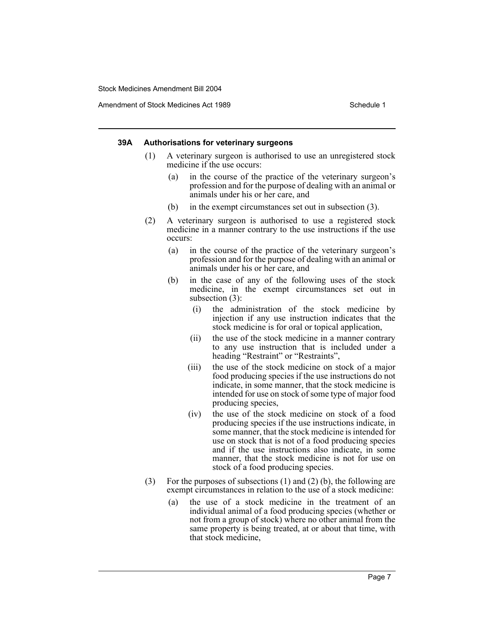Amendment of Stock Medicines Act 1989 New York 1989

#### **39A Authorisations for veterinary surgeons**

- (1) A veterinary surgeon is authorised to use an unregistered stock medicine if the use occurs:
	- (a) in the course of the practice of the veterinary surgeon's profession and for the purpose of dealing with an animal or animals under his or her care, and
	- (b) in the exempt circumstances set out in subsection (3).
- (2) A veterinary surgeon is authorised to use a registered stock medicine in a manner contrary to the use instructions if the use occurs:
	- (a) in the course of the practice of the veterinary surgeon's profession and for the purpose of dealing with an animal or animals under his or her care, and
	- (b) in the case of any of the following uses of the stock medicine, in the exempt circumstances set out in subsection (3):
		- (i) the administration of the stock medicine by injection if any use instruction indicates that the stock medicine is for oral or topical application,
		- (ii) the use of the stock medicine in a manner contrary to any use instruction that is included under a heading "Restraint" or "Restraints",
		- (iii) the use of the stock medicine on stock of a major food producing species if the use instructions do not indicate, in some manner, that the stock medicine is intended for use on stock of some type of major food producing species,
		- (iv) the use of the stock medicine on stock of a food producing species if the use instructions indicate, in some manner, that the stock medicine is intended for use on stock that is not of a food producing species and if the use instructions also indicate, in some manner, that the stock medicine is not for use on stock of a food producing species.
- (3) For the purposes of subsections (1) and (2) (b), the following are exempt circumstances in relation to the use of a stock medicine:
	- (a) the use of a stock medicine in the treatment of an individual animal of a food producing species (whether or not from a group of stock) where no other animal from the same property is being treated, at or about that time, with that stock medicine,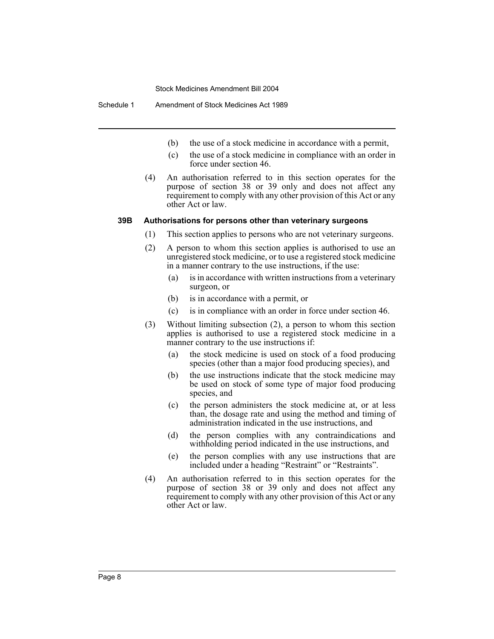Schedule 1 Amendment of Stock Medicines Act 1989

- (b) the use of a stock medicine in accordance with a permit,
- (c) the use of a stock medicine in compliance with an order in force under section 46.
- (4) An authorisation referred to in this section operates for the purpose of section 38 or 39 only and does not affect any requirement to comply with any other provision of this Act or any other Act or law.

#### **39B Authorisations for persons other than veterinary surgeons**

- (1) This section applies to persons who are not veterinary surgeons.
- (2) A person to whom this section applies is authorised to use an unregistered stock medicine, or to use a registered stock medicine in a manner contrary to the use instructions, if the use:
	- (a) is in accordance with written instructions from a veterinary surgeon, or
	- (b) is in accordance with a permit, or
	- (c) is in compliance with an order in force under section 46.
- (3) Without limiting subsection (2), a person to whom this section applies is authorised to use a registered stock medicine in a manner contrary to the use instructions if:
	- (a) the stock medicine is used on stock of a food producing species (other than a major food producing species), and
	- (b) the use instructions indicate that the stock medicine may be used on stock of some type of major food producing species, and
	- (c) the person administers the stock medicine at, or at less than, the dosage rate and using the method and timing of administration indicated in the use instructions, and
	- (d) the person complies with any contraindications and withholding period indicated in the use instructions, and
	- (e) the person complies with any use instructions that are included under a heading "Restraint" or "Restraints".
- (4) An authorisation referred to in this section operates for the purpose of section 38 or 39 only and does not affect any requirement to comply with any other provision of this Act or any other Act or law.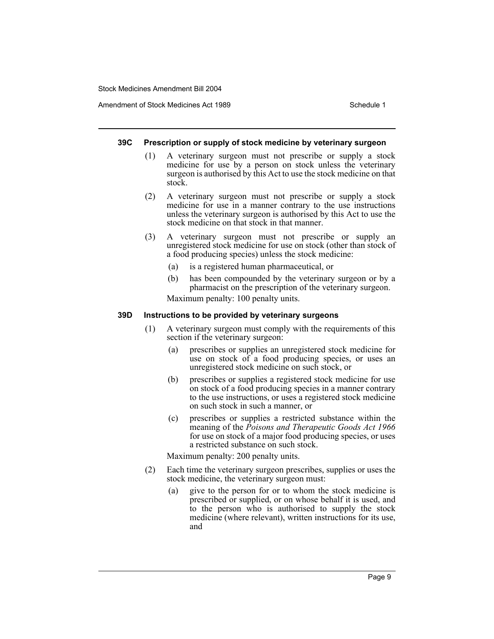Amendment of Stock Medicines Act 1989 New York Schedule 1

#### **39C Prescription or supply of stock medicine by veterinary surgeon**

- (1) A veterinary surgeon must not prescribe or supply a stock medicine for use by a person on stock unless the veterinary surgeon is authorised by this Act to use the stock medicine on that stock.
- (2) A veterinary surgeon must not prescribe or supply a stock medicine for use in a manner contrary to the use instructions unless the veterinary surgeon is authorised by this Act to use the stock medicine on that stock in that manner.
- (3) A veterinary surgeon must not prescribe or supply an unregistered stock medicine for use on stock (other than stock of a food producing species) unless the stock medicine:
	- (a) is a registered human pharmaceutical, or
	- (b) has been compounded by the veterinary surgeon or by a pharmacist on the prescription of the veterinary surgeon. Maximum penalty: 100 penalty units.

#### **39D Instructions to be provided by veterinary surgeons**

- (1) A veterinary surgeon must comply with the requirements of this section if the veterinary surgeon:
	- (a) prescribes or supplies an unregistered stock medicine for use on stock of a food producing species, or uses an unregistered stock medicine on such stock, or
	- (b) prescribes or supplies a registered stock medicine for use on stock of a food producing species in a manner contrary to the use instructions, or uses a registered stock medicine on such stock in such a manner, or
	- (c) prescribes or supplies a restricted substance within the meaning of the *Poisons and Therapeutic Goods Act 1966* for use on stock of a major food producing species, or uses a restricted substance on such stock.

Maximum penalty: 200 penalty units.

- (2) Each time the veterinary surgeon prescribes, supplies or uses the stock medicine, the veterinary surgeon must:
	- (a) give to the person for or to whom the stock medicine is prescribed or supplied, or on whose behalf it is used, and to the person who is authorised to supply the stock medicine (where relevant), written instructions for its use, and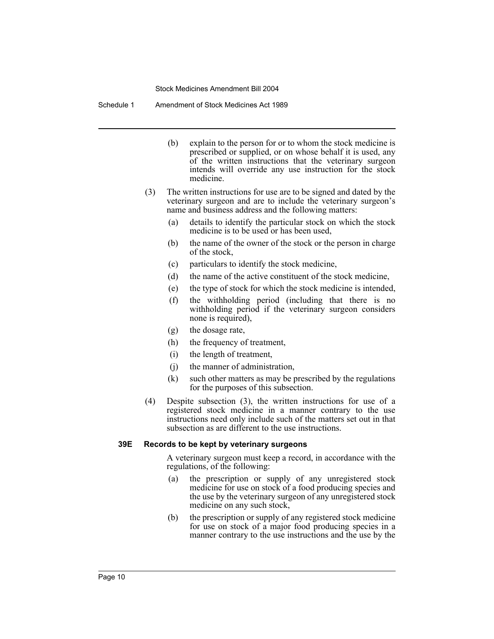Schedule 1 Amendment of Stock Medicines Act 1989

- (b) explain to the person for or to whom the stock medicine is prescribed or supplied, or on whose behalf it is used, any of the written instructions that the veterinary surgeon intends will override any use instruction for the stock medicine.
- (3) The written instructions for use are to be signed and dated by the veterinary surgeon and are to include the veterinary surgeon's name and business address and the following matters:
	- (a) details to identify the particular stock on which the stock medicine is to be used or has been used,
	- (b) the name of the owner of the stock or the person in charge of the stock,
	- (c) particulars to identify the stock medicine,
	- (d) the name of the active constituent of the stock medicine,
	- (e) the type of stock for which the stock medicine is intended,
	- (f) the withholding period (including that there is no withholding period if the veterinary surgeon considers none is required),
	- (g) the dosage rate,
	- (h) the frequency of treatment,
	- (i) the length of treatment,
	- (j) the manner of administration,
	- (k) such other matters as may be prescribed by the regulations for the purposes of this subsection.
- (4) Despite subsection (3), the written instructions for use of a registered stock medicine in a manner contrary to the use instructions need only include such of the matters set out in that subsection as are different to the use instructions.

### **39E Records to be kept by veterinary surgeons**

A veterinary surgeon must keep a record, in accordance with the regulations, of the following:

- (a) the prescription or supply of any unregistered stock medicine for use on stock of a food producing species and the use by the veterinary surgeon of any unregistered stock medicine on any such stock,
- (b) the prescription or supply of any registered stock medicine for use on stock of a major food producing species in a manner contrary to the use instructions and the use by the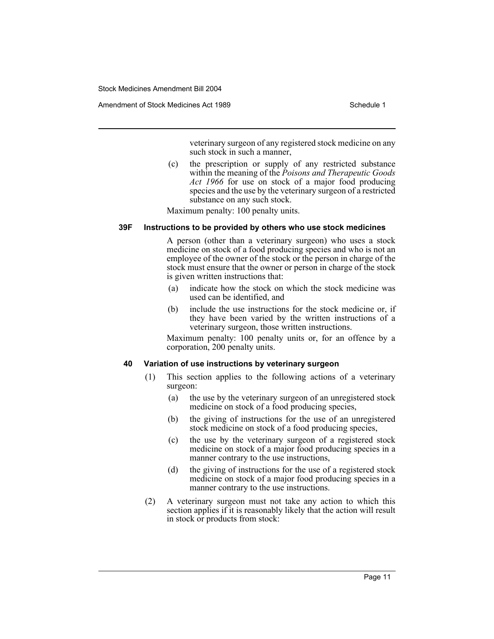veterinary surgeon of any registered stock medicine on any such stock in such a manner,

(c) the prescription or supply of any restricted substance within the meaning of the *Poisons and Therapeutic Goods Act 1966* for use on stock of a major food producing species and the use by the veterinary surgeon of a restricted substance on any such stock.

Maximum penalty: 100 penalty units.

#### **39F Instructions to be provided by others who use stock medicines**

A person (other than a veterinary surgeon) who uses a stock medicine on stock of a food producing species and who is not an employee of the owner of the stock or the person in charge of the stock must ensure that the owner or person in charge of the stock is given written instructions that:

- (a) indicate how the stock on which the stock medicine was used can be identified, and
- (b) include the use instructions for the stock medicine or, if they have been varied by the written instructions of a veterinary surgeon, those written instructions.

Maximum penalty: 100 penalty units or, for an offence by a corporation, 200 penalty units.

#### **40 Variation of use instructions by veterinary surgeon**

- (1) This section applies to the following actions of a veterinary surgeon:
	- (a) the use by the veterinary surgeon of an unregistered stock medicine on stock of a food producing species,
	- (b) the giving of instructions for the use of an unregistered stock medicine on stock of a food producing species,
	- (c) the use by the veterinary surgeon of a registered stock medicine on stock of a major food producing species in a manner contrary to the use instructions,
	- (d) the giving of instructions for the use of a registered stock medicine on stock of a major food producing species in a manner contrary to the use instructions.
- (2) A veterinary surgeon must not take any action to which this section applies if it is reasonably likely that the action will result in stock or products from stock: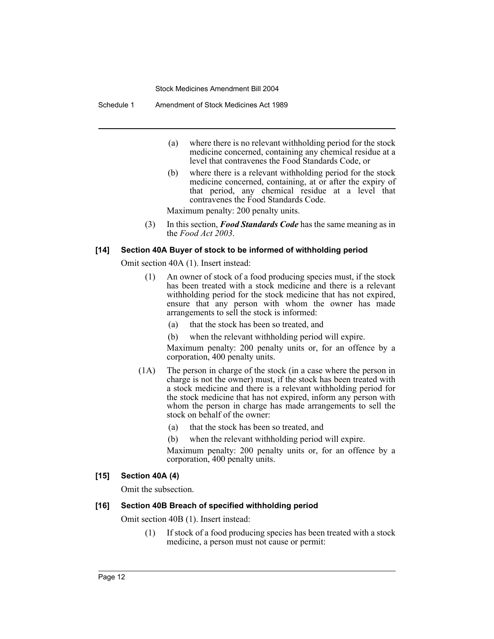Schedule 1 Amendment of Stock Medicines Act 1989

- (a) where there is no relevant withholding period for the stock medicine concerned, containing any chemical residue at a level that contravenes the Food Standards Code, or
- (b) where there is a relevant withholding period for the stock medicine concerned, containing, at or after the expiry of that period, any chemical residue at a level that contravenes the Food Standards Code.

Maximum penalty: 200 penalty units.

(3) In this section, *Food Standards Code* has the same meaning as in the *Food Act 2003*.

#### **[14] Section 40A Buyer of stock to be informed of withholding period**

Omit section 40A (1). Insert instead:

- (1) An owner of stock of a food producing species must, if the stock has been treated with a stock medicine and there is a relevant withholding period for the stock medicine that has not expired, ensure that any person with whom the owner has made arrangements to sell the stock is informed:
	- (a) that the stock has been so treated, and
	- (b) when the relevant withholding period will expire.

Maximum penalty: 200 penalty units or, for an offence by a corporation, 400 penalty units.

- (1A) The person in charge of the stock (in a case where the person in charge is not the owner) must, if the stock has been treated with a stock medicine and there is a relevant withholding period for the stock medicine that has not expired, inform any person with whom the person in charge has made arrangements to sell the stock on behalf of the owner:
	- (a) that the stock has been so treated, and
	- (b) when the relevant withholding period will expire.
	- Maximum penalty: 200 penalty units or, for an offence by a corporation, 400 penalty units.

#### **[15] Section 40A (4)**

Omit the subsection.

#### **[16] Section 40B Breach of specified withholding period**

Omit section 40B (1). Insert instead:

(1) If stock of a food producing species has been treated with a stock medicine, a person must not cause or permit: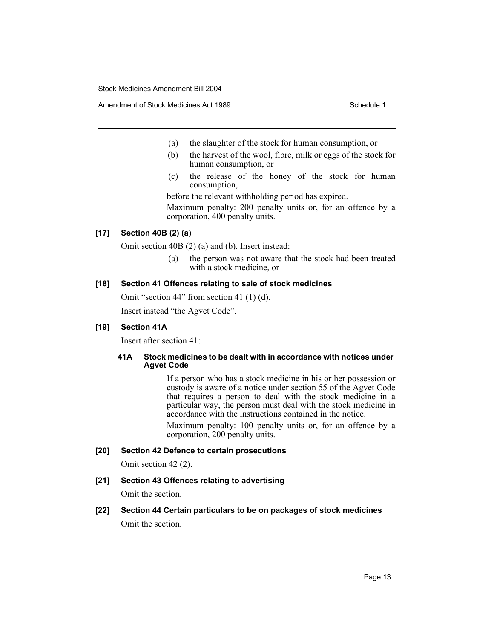Amendment of Stock Medicines Act 1989 New York Schedule 1

- (a) the slaughter of the stock for human consumption, or
- (b) the harvest of the wool, fibre, milk or eggs of the stock for human consumption, or
- (c) the release of the honey of the stock for human consumption,

before the relevant withholding period has expired. Maximum penalty: 200 penalty units or, for an offence by a corporation, 400 penalty units.

#### **[17] Section 40B (2) (a)**

Omit section 40B (2) (a) and (b). Insert instead:

(a) the person was not aware that the stock had been treated with a stock medicine, or

### **[18] Section 41 Offences relating to sale of stock medicines**

Omit "section 44" from section 41 (1) (d). Insert instead "the Agvet Code".

### **[19] Section 41A**

Insert after section 41:

#### **41A Stock medicines to be dealt with in accordance with notices under Agvet Code**

If a person who has a stock medicine in his or her possession or custody is aware of a notice under section 55 of the Agvet Code that requires a person to deal with the stock medicine in a particular way, the person must deal with the stock medicine in accordance with the instructions contained in the notice.

Maximum penalty: 100 penalty units or, for an offence by a corporation, 200 penalty units.

#### **[20] Section 42 Defence to certain prosecutions**

Omit section 42 (2).

### **[21] Section 43 Offences relating to advertising**

Omit the section.

# **[22] Section 44 Certain particulars to be on packages of stock medicines** Omit the section.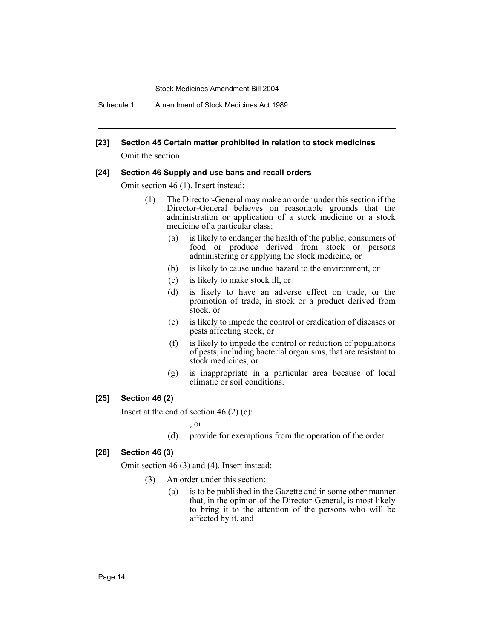Schedule 1 Amendment of Stock Medicines Act 1989

#### **[23] Section 45 Certain matter prohibited in relation to stock medicines**

Omit the section.

#### **[24] Section 46 Supply and use bans and recall orders**

Omit section 46 (1). Insert instead:

- (1) The Director-General may make an order under this section if the Director-General believes on reasonable grounds that the administration or application of a stock medicine or a stock medicine of a particular class:
	- (a) is likely to endanger the health of the public, consumers of food or produce derived from stock or persons administering or applying the stock medicine, or
	- (b) is likely to cause undue hazard to the environment, or
	- (c) is likely to make stock ill, or
	- (d) is likely to have an adverse effect on trade, or the promotion of trade, in stock or a product derived from stock, or
	- (e) is likely to impede the control or eradication of diseases or pests affecting stock, or
	- (f) is likely to impede the control or reduction of populations of pests, including bacterial organisms, that are resistant to stock medicines, or
	- (g) is inappropriate in a particular area because of local climatic or soil conditions.

#### **[25] Section 46 (2)**

Insert at the end of section 46 (2) (c):

, or

(d) provide for exemptions from the operation of the order.

#### **[26] Section 46 (3)**

Omit section 46 (3) and (4). Insert instead:

- (3) An order under this section:
	- (a) is to be published in the Gazette and in some other manner that, in the opinion of the Director-General, is most likely to bring it to the attention of the persons who will be affected by it, and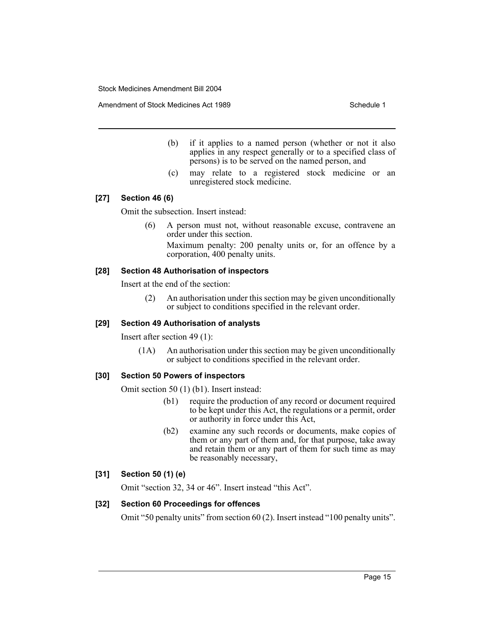Amendment of Stock Medicines Act 1989 New York Schedule 1

- (b) if it applies to a named person (whether or not it also applies in any respect generally or to a specified class of persons) is to be served on the named person, and
- (c) may relate to a registered stock medicine or an unregistered stock medicine.

### **[27] Section 46 (6)**

Omit the subsection. Insert instead:

(6) A person must not, without reasonable excuse, contravene an order under this section. Maximum penalty: 200 penalty units or, for an offence by a

corporation, 400 penalty units.

#### **[28] Section 48 Authorisation of inspectors**

Insert at the end of the section:

(2) An authorisation under this section may be given unconditionally or subject to conditions specified in the relevant order.

#### **[29] Section 49 Authorisation of analysts**

Insert after section 49 (1):

(1A) An authorisation under this section may be given unconditionally or subject to conditions specified in the relevant order.

#### **[30] Section 50 Powers of inspectors**

Omit section 50 (1) (b1). Insert instead:

- (b1) require the production of any record or document required to be kept under this Act, the regulations or a permit, order or authority in force under this Act,
- (b2) examine any such records or documents, make copies of them or any part of them and, for that purpose, take away and retain them or any part of them for such time as may be reasonably necessary,

### **[31] Section 50 (1) (e)**

Omit "section 32, 34 or 46". Insert instead "this Act".

### **[32] Section 60 Proceedings for offences**

Omit "50 penalty units" from section 60 (2). Insert instead "100 penalty units".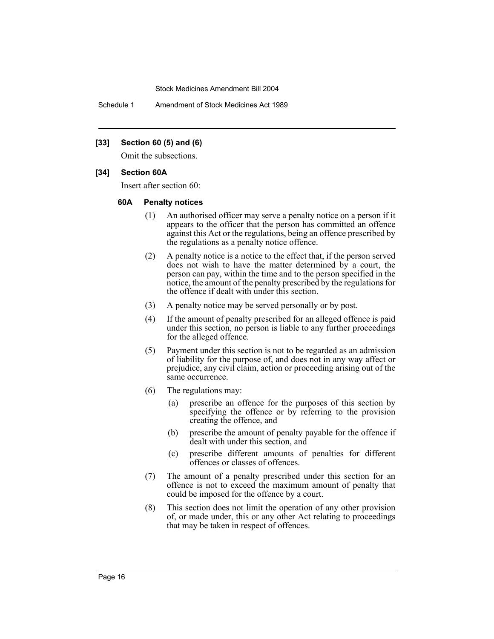Schedule 1 Amendment of Stock Medicines Act 1989

#### **[33] Section 60 (5) and (6)**

Omit the subsections.

#### **[34] Section 60A**

Insert after section 60:

#### **60A Penalty notices**

- (1) An authorised officer may serve a penalty notice on a person if it appears to the officer that the person has committed an offence against this Act or the regulations, being an offence prescribed by the regulations as a penalty notice offence.
- (2) A penalty notice is a notice to the effect that, if the person served does not wish to have the matter determined by a court, the person can pay, within the time and to the person specified in the notice, the amount of the penalty prescribed by the regulations for the offence if dealt with under this section.
- (3) A penalty notice may be served personally or by post.
- (4) If the amount of penalty prescribed for an alleged offence is paid under this section, no person is liable to any further proceedings for the alleged offence.
- (5) Payment under this section is not to be regarded as an admission of liability for the purpose of, and does not in any way affect or prejudice, any civil claim, action or proceeding arising out of the same occurrence.
- (6) The regulations may:
	- (a) prescribe an offence for the purposes of this section by specifying the offence or by referring to the provision creating the offence, and
	- (b) prescribe the amount of penalty payable for the offence if dealt with under this section, and
	- (c) prescribe different amounts of penalties for different offences or classes of offences.
- (7) The amount of a penalty prescribed under this section for an offence is not to exceed the maximum amount of penalty that could be imposed for the offence by a court.
- (8) This section does not limit the operation of any other provision of, or made under, this or any other Act relating to proceedings that may be taken in respect of offences.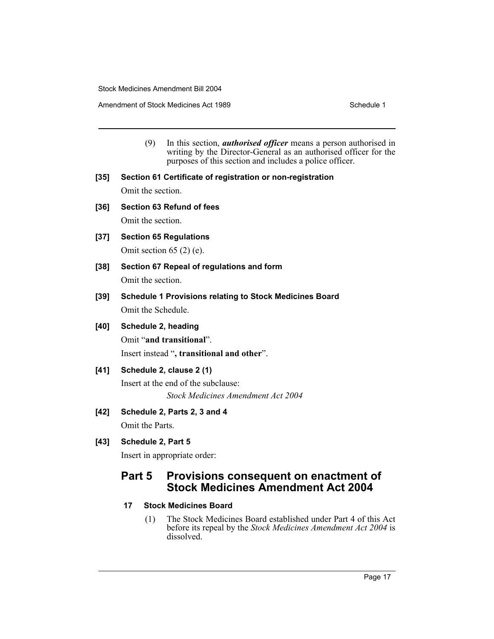Amendment of Stock Medicines Act 1989 New York Schedule 1

- (9) In this section, *authorised officer* means a person authorised in writing by the Director-General as an authorised officer for the purposes of this section and includes a police officer.
- **[35] Section 61 Certificate of registration or non-registration** Omit the section.
- **[36] Section 63 Refund of fees** Omit the section.
- **[37] Section 65 Regulations** Omit section 65 (2) (e).
- **[38] Section 67 Repeal of regulations and form** Omit the section.
- **[39] Schedule 1 Provisions relating to Stock Medicines Board** Omit the Schedule.
- **[40] Schedule 2, heading**

Omit "**and transitional**".

Insert instead "**, transitional and other**".

### **[41] Schedule 2, clause 2 (1)**

Insert at the end of the subclause: *Stock Medicines Amendment Act 2004*

**[42] Schedule 2, Parts 2, 3 and 4**

Omit the Parts.

### **[43] Schedule 2, Part 5**

Insert in appropriate order:

# **Part 5 Provisions consequent on enactment of Stock Medicines Amendment Act 2004**

### **17 Stock Medicines Board**

(1) The Stock Medicines Board established under Part 4 of this Act before its repeal by the *Stock Medicines Amendment Act 2004* is dissolved.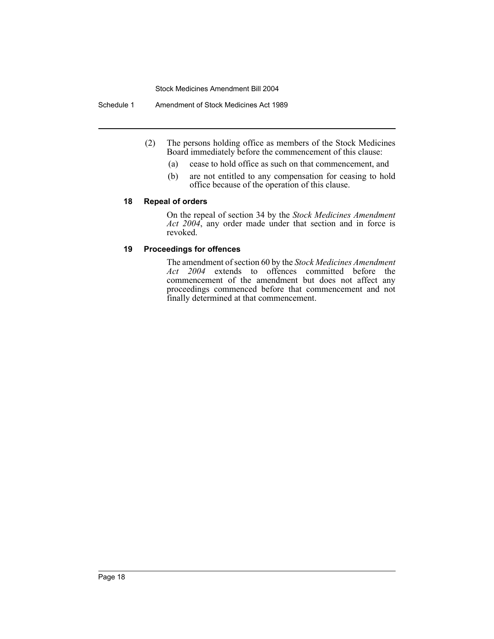Schedule 1 Amendment of Stock Medicines Act 1989

- (2) The persons holding office as members of the Stock Medicines Board immediately before the commencement of this clause:
	- (a) cease to hold office as such on that commencement, and
	- (b) are not entitled to any compensation for ceasing to hold office because of the operation of this clause.

#### **18 Repeal of orders**

On the repeal of section 34 by the *Stock Medicines Amendment Act 2004*, any order made under that section and in force is revoked.

### **19 Proceedings for offences**

The amendment of section 60 by the *Stock Medicines Amendment Act 2004* extends to offences committed before the commencement of the amendment but does not affect any proceedings commenced before that commencement and not finally determined at that commencement.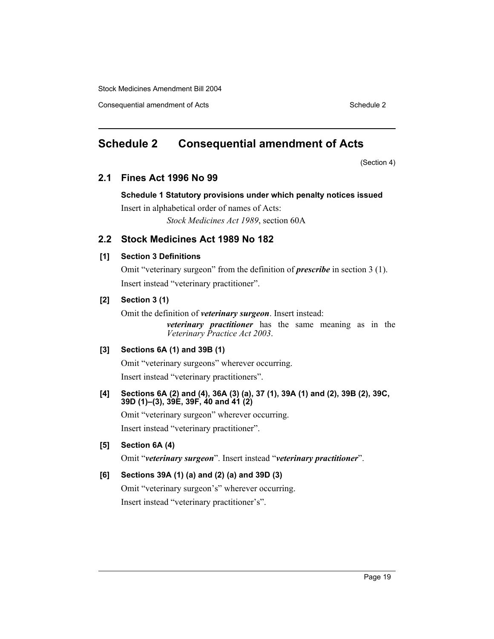Consequential amendment of Acts Schedule 2 and Schedule 2

# **Schedule 2 Consequential amendment of Acts**

(Section 4)

## **2.1 Fines Act 1996 No 99**

#### **Schedule 1 Statutory provisions under which penalty notices issued**

Insert in alphabetical order of names of Acts: *Stock Medicines Act 1989*, section 60A

# **2.2 Stock Medicines Act 1989 No 182**

#### **[1] Section 3 Definitions**

Omit "veterinary surgeon" from the definition of *prescribe* in section 3 (1). Insert instead "veterinary practitioner".

### **[2] Section 3 (1)**

Omit the definition of *veterinary surgeon*. Insert instead:

*veterinary practitioner* has the same meaning as in the *Veterinary Practice Act 2003*.

## **[3] Sections 6A (1) and 39B (1)**

Omit "veterinary surgeons" wherever occurring. Insert instead "veterinary practitioners".

#### **[4] Sections 6A (2) and (4), 36A (3) (a), 37 (1), 39A (1) and (2), 39B (2), 39C, 39D (1)–(3), 39E, 39F, 40 and 41 (2)**

Omit "veterinary surgeon" wherever occurring. Insert instead "veterinary practitioner".

### **[5] Section 6A (4)**

Omit "*veterinary surgeon*". Insert instead "*veterinary practitioner*".

## **[6] Sections 39A (1) (a) and (2) (a) and 39D (3)**

Omit "veterinary surgeon's" wherever occurring. Insert instead "veterinary practitioner's".